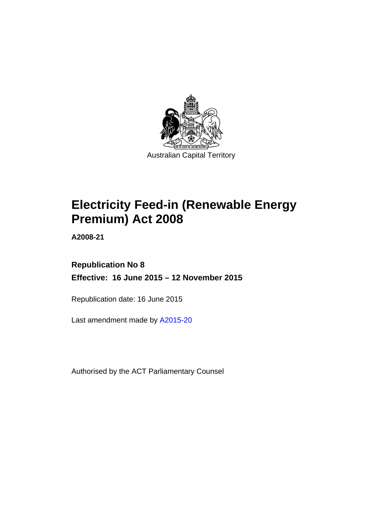

# **Electricity Feed-in (Renewable Energy Premium) Act 2008**

**A2008-21** 

# **Republication No 8 Effective: 16 June 2015 – 12 November 2015**

Republication date: 16 June 2015

Last amendment made by [A2015-20](http://www.legislation.act.gov.au/a/2015-20)

Authorised by the ACT Parliamentary Counsel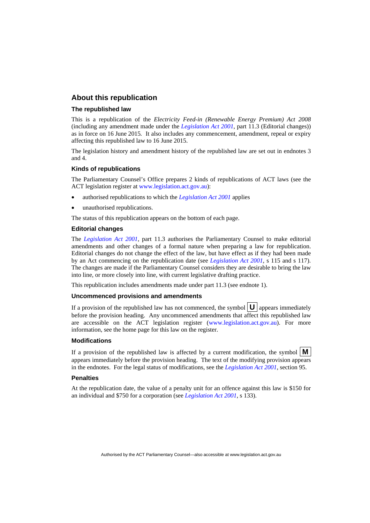### **About this republication**

### **The republished law**

This is a republication of the *Electricity Feed-in (Renewable Energy Premium) Act 2008* (including any amendment made under the *[Legislation Act 2001](http://www.legislation.act.gov.au/a/2001-14)*, part 11.3 (Editorial changes)) as in force on 16 June 2015*.* It also includes any commencement, amendment, repeal or expiry affecting this republished law to 16 June 2015.

The legislation history and amendment history of the republished law are set out in endnotes 3 and 4.

#### **Kinds of republications**

The Parliamentary Counsel's Office prepares 2 kinds of republications of ACT laws (see the ACT legislation register at [www.legislation.act.gov.au](http://www.legislation.act.gov.au/)):

- authorised republications to which the *[Legislation Act 2001](http://www.legislation.act.gov.au/a/2001-14)* applies
- unauthorised republications.

The status of this republication appears on the bottom of each page.

#### **Editorial changes**

The *[Legislation Act 2001](http://www.legislation.act.gov.au/a/2001-14)*, part 11.3 authorises the Parliamentary Counsel to make editorial amendments and other changes of a formal nature when preparing a law for republication. Editorial changes do not change the effect of the law, but have effect as if they had been made by an Act commencing on the republication date (see *[Legislation Act 2001](http://www.legislation.act.gov.au/a/2001-14)*, s 115 and s 117). The changes are made if the Parliamentary Counsel considers they are desirable to bring the law into line, or more closely into line, with current legislative drafting practice.

This republication includes amendments made under part 11.3 (see endnote 1).

### **Uncommenced provisions and amendments**

If a provision of the republished law has not commenced, the symbol  $\mathbf{U}$  appears immediately before the provision heading. Any uncommenced amendments that affect this republished law are accessible on the ACT legislation register [\(www.legislation.act.gov.au\)](http://www.legislation.act.gov.au/). For more information, see the home page for this law on the register.

#### **Modifications**

If a provision of the republished law is affected by a current modification, the symbol  $\mathbf{M}$ appears immediately before the provision heading. The text of the modifying provision appears in the endnotes. For the legal status of modifications, see the *[Legislation Act 2001](http://www.legislation.act.gov.au/a/2001-14)*, section 95.

#### **Penalties**

At the republication date, the value of a penalty unit for an offence against this law is \$150 for an individual and \$750 for a corporation (see *[Legislation Act 2001](http://www.legislation.act.gov.au/a/2001-14)*, s 133).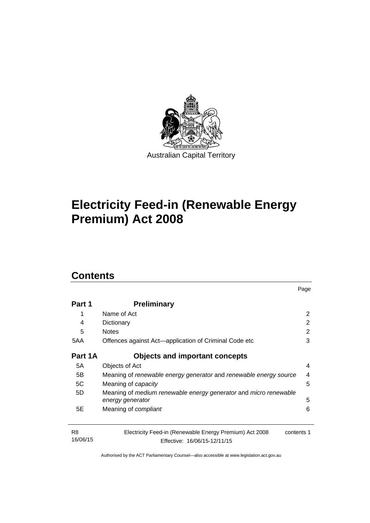

# **Electricity Feed-in (Renewable Energy Premium) Act 2008**

# **Contents**

| Part 1                     | <b>Preliminary</b>                                                                                    |   |  |  |
|----------------------------|-------------------------------------------------------------------------------------------------------|---|--|--|
| 1                          | Name of Act                                                                                           | 2 |  |  |
| 4                          | Dictionary                                                                                            | 2 |  |  |
| 5                          | <b>Notes</b><br>Offences against Act—application of Criminal Code etc                                 |   |  |  |
| 5AA                        |                                                                                                       |   |  |  |
| Part 1A                    | Objects and important concepts                                                                        |   |  |  |
| 5A                         | Objects of Act                                                                                        | 4 |  |  |
| 5B                         | Meaning of renewable energy generator and renewable energy source<br>4                                |   |  |  |
| 5C                         | Meaning of <i>capacity</i>                                                                            | 5 |  |  |
| 5D                         | Meaning of medium renewable energy generator and micro renewable                                      |   |  |  |
|                            | energy generator                                                                                      | 5 |  |  |
| 5E                         | Meaning of compliant                                                                                  | 6 |  |  |
| R <sub>8</sub><br>16/06/15 | Electricity Feed-in (Renewable Energy Premium) Act 2008<br>contents 1<br>Effective: 16/06/15-12/11/15 |   |  |  |

Page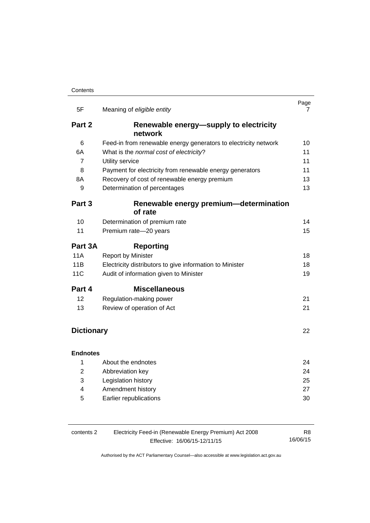| 5F                | Meaning of eligible entity                                      | Page<br>7 |
|-------------------|-----------------------------------------------------------------|-----------|
| Part 2            | Renewable energy-supply to electricity                          |           |
|                   | network                                                         |           |
| 6                 | Feed-in from renewable energy generators to electricity network | 10        |
| 6A                | What is the normal cost of electricity?                         | 11        |
| 7                 | Utility service                                                 | 11        |
| 8                 | Payment for electricity from renewable energy generators        | 11        |
| 8A                | Recovery of cost of renewable energy premium                    | 13        |
| 9                 | Determination of percentages                                    | 13        |
| Part 3            | Renewable energy premium-determination<br>of rate               |           |
| 10                | Determination of premium rate                                   | 14        |
| 11                | Premium rate-20 years                                           | 15        |
| Part 3A           | <b>Reporting</b>                                                |           |
| <b>11A</b>        | <b>Report by Minister</b>                                       | 18        |
| 11B               | Electricity distributors to give information to Minister        | 18        |
| <b>11C</b>        | Audit of information given to Minister                          | 19        |
| Part 4            | <b>Miscellaneous</b>                                            |           |
| 12                | Regulation-making power                                         | 21        |
| 13                | Review of operation of Act                                      | 21        |
|                   |                                                                 |           |
| <b>Dictionary</b> |                                                                 | 22        |
| <b>Endnotes</b>   |                                                                 |           |
| 1                 | About the endnotes                                              | 24        |
| 2                 | Abbreviation key                                                | 24        |
| 3                 | Legislation history                                             | 25        |
| 4                 | Amendment history                                               | 27        |
| 5                 | Earlier republications                                          | 30        |

| contents 2 | Electricity Feed-in (Renewable Energy Premium) Act 2008 |          |  |
|------------|---------------------------------------------------------|----------|--|
|            | Effective: 16/06/15-12/11/15                            | 16/06/15 |  |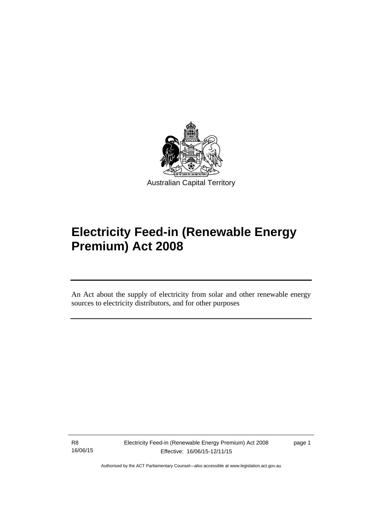

# **Electricity Feed-in (Renewable Energy Premium) Act 2008**

An Act about the supply of electricity from solar and other renewable energy sources to electricity distributors, and for other purposes

R8 16/06/15

l

Electricity Feed-in (Renewable Energy Premium) Act 2008 Effective: 16/06/15-12/11/15

page 1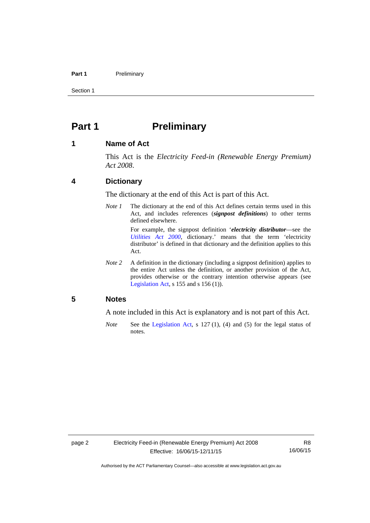### Part 1 **Preliminary**

Section 1

# <span id="page-5-0"></span>**Part 1** Preliminary

### <span id="page-5-1"></span>**1 Name of Act**

This Act is the *Electricity Feed-in (Renewable Energy Premium) Act 2008*.

### <span id="page-5-2"></span>**4 Dictionary**

The dictionary at the end of this Act is part of this Act.

*Note 1* The dictionary at the end of this Act defines certain terms used in this Act, and includes references (*signpost definitions*) to other terms defined elsewhere.

> For example, the signpost definition '*electricity distributor*—see the *[Utilities Act 2000](http://www.legislation.act.gov.au/a/2000-65)*, dictionary.' means that the term 'electricity distributor' is defined in that dictionary and the definition applies to this Act.

*Note 2* A definition in the dictionary (including a signpost definition) applies to the entire Act unless the definition, or another provision of the Act, provides otherwise or the contrary intention otherwise appears (see [Legislation Act,](http://www.legislation.act.gov.au/a/2001-14) s  $155$  and s  $156$  (1)).

### <span id="page-5-3"></span>**5 Notes**

A note included in this Act is explanatory and is not part of this Act.

*Note* See the [Legislation Act,](http://www.legislation.act.gov.au/a/2001-14) s 127 (1), (4) and (5) for the legal status of notes.

R8 16/06/15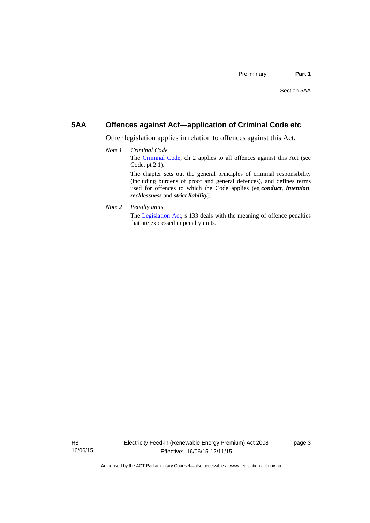# <span id="page-6-0"></span>**5AA Offences against Act—application of Criminal Code etc**

Other legislation applies in relation to offences against this Act.

- *Note 1 Criminal Code* The [Criminal Code](http://www.legislation.act.gov.au/a/2002-51), ch 2 applies to all offences against this Act (see Code, pt 2.1). The chapter sets out the general principles of criminal responsibility (including burdens of proof and general defences), and defines terms used for offences to which the Code applies (eg *conduct*, *intention*, *recklessness* and *strict liability*).
- *Note 2 Penalty units*

The [Legislation Act](http://www.legislation.act.gov.au/a/2001-14), s 133 deals with the meaning of offence penalties that are expressed in penalty units.

page 3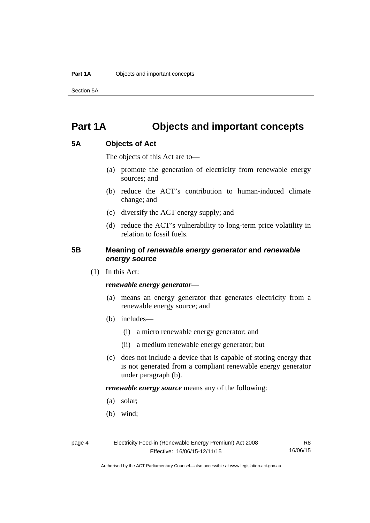Section 5A

# <span id="page-7-0"></span>**Part 1A Objects and important concepts**

# <span id="page-7-1"></span>**5A Objects of Act**

The objects of this Act are to—

- (a) promote the generation of electricity from renewable energy sources; and
- (b) reduce the ACT's contribution to human-induced climate change; and
- (c) diversify the ACT energy supply; and
- (d) reduce the ACT's vulnerability to long-term price volatility in relation to fossil fuels.

# <span id="page-7-2"></span>**5B Meaning of** *renewable energy generator* **and** *renewable energy source*

(1) In this Act:

### *renewable energy generator*—

- (a) means an energy generator that generates electricity from a renewable energy source; and
- (b) includes—
	- (i) a micro renewable energy generator; and
	- (ii) a medium renewable energy generator; but
- (c) does not include a device that is capable of storing energy that is not generated from a compliant renewable energy generator under paragraph (b).

*renewable energy source* means any of the following:

- (a) solar;
- (b) wind;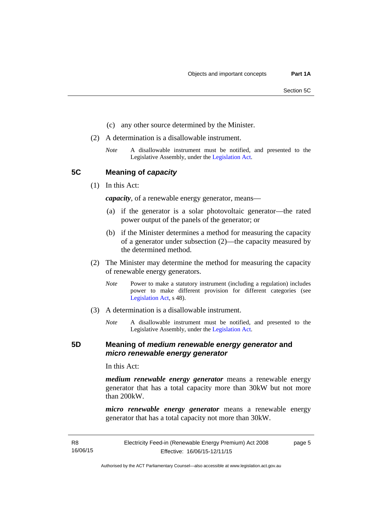- (c) any other source determined by the Minister.
- (2) A determination is a disallowable instrument.
	- *Note* A disallowable instrument must be notified, and presented to the Legislative Assembly, under the [Legislation Act.](http://www.legislation.act.gov.au/a/2001-14)

<span id="page-8-0"></span>**5C Meaning of** *capacity*

(1) In this Act:

*capacity*, of a renewable energy generator, means—

- (a) if the generator is a solar photovoltaic generator—the rated power output of the panels of the generator; or
- (b) if the Minister determines a method for measuring the capacity of a generator under subsection (2)—the capacity measured by the determined method.
- (2) The Minister may determine the method for measuring the capacity of renewable energy generators.
	- *Note* Power to make a statutory instrument (including a regulation) includes power to make different provision for different categories (see [Legislation Act,](http://www.legislation.act.gov.au/a/2001-14) s 48).
- (3) A determination is a disallowable instrument.
	- *Note* A disallowable instrument must be notified, and presented to the Legislative Assembly, under the [Legislation Act.](http://www.legislation.act.gov.au/a/2001-14)

## <span id="page-8-1"></span>**5D Meaning of** *medium renewable energy generator* **and**  *micro renewable energy generator*

In this Act:

*medium renewable energy generator* means a renewable energy generator that has a total capacity more than 30kW but not more than 200kW.

*micro renewable energy generator* means a renewable energy generator that has a total capacity not more than 30kW.

page 5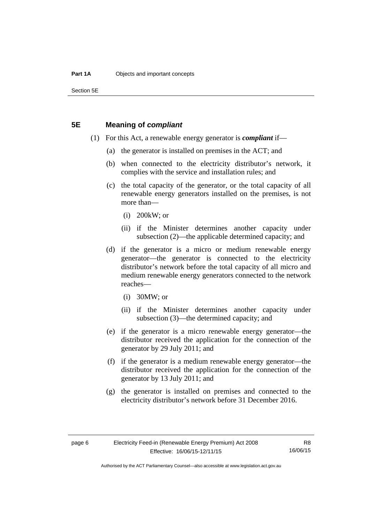Section 5E

## <span id="page-9-0"></span>**5E Meaning of** *compliant*

- (1) For this Act, a renewable energy generator is *compliant* if—
	- (a) the generator is installed on premises in the ACT; and
	- (b) when connected to the electricity distributor's network, it complies with the service and installation rules; and
	- (c) the total capacity of the generator, or the total capacity of all renewable energy generators installed on the premises, is not more than—
		- (i) 200kW; or
		- (ii) if the Minister determines another capacity under subsection (2)—the applicable determined capacity; and
	- (d) if the generator is a micro or medium renewable energy generator—the generator is connected to the electricity distributor's network before the total capacity of all micro and medium renewable energy generators connected to the network reaches—
		- (i) 30MW; or
		- (ii) if the Minister determines another capacity under subsection (3)—the determined capacity; and
	- (e) if the generator is a micro renewable energy generator—the distributor received the application for the connection of the generator by 29 July 2011; and
	- (f) if the generator is a medium renewable energy generator—the distributor received the application for the connection of the generator by 13 July 2011; and
	- (g) the generator is installed on premises and connected to the electricity distributor's network before 31 December 2016.

R8 16/06/15

Authorised by the ACT Parliamentary Counsel—also accessible at www.legislation.act.gov.au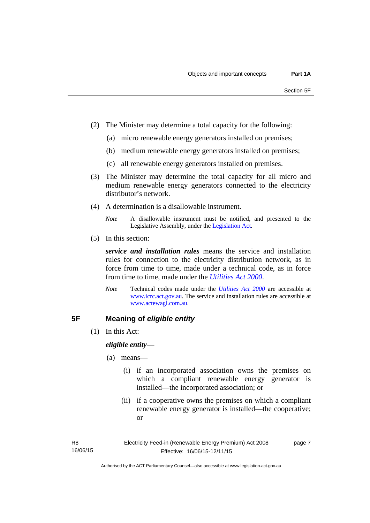- (2) The Minister may determine a total capacity for the following:
	- (a) micro renewable energy generators installed on premises;
	- (b) medium renewable energy generators installed on premises;
	- (c) all renewable energy generators installed on premises.
- (3) The Minister may determine the total capacity for all micro and medium renewable energy generators connected to the electricity distributor's network.
- (4) A determination is a disallowable instrument.
	- *Note* A disallowable instrument must be notified, and presented to the Legislative Assembly, under the [Legislation Act.](http://www.legislation.act.gov.au/a/2001-14)
- (5) In this section:

*service and installation rules* means the service and installation rules for connection to the electricity distribution network, as in force from time to time, made under a technical code, as in force from time to time, made under the *[Utilities Act 2000](http://www.legislation.act.gov.au/a/2000-65)*.

*Note* Technical codes made under the *[Utilities Act 2000](http://www.legislation.act.gov.au/a/2000-65)* are accessible at [www.icrc.act.gov.au.](http://www.icrc.act.gov.au/) The service and installation rules are accessible at [www.actewagl.com.au](http://www.actewagl.com.au/).

# <span id="page-10-0"></span>**5F Meaning of** *eligible entity*

(1) In this Act:

*eligible entity*—

- (a) means—
	- (i) if an incorporated association owns the premises on which a compliant renewable energy generator is installed—the incorporated association; or
	- (ii) if a cooperative owns the premises on which a compliant renewable energy generator is installed—the cooperative; or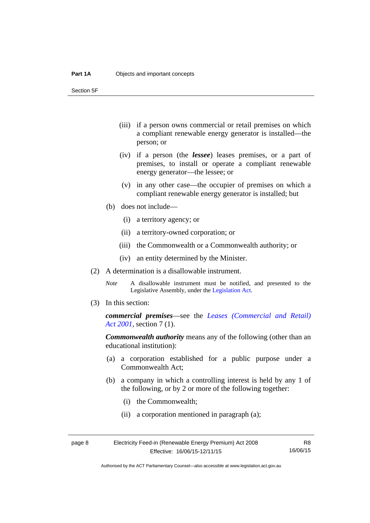Section 5F

- (iii) if a person owns commercial or retail premises on which a compliant renewable energy generator is installed—the person; or
- (iv) if a person (the *lessee*) leases premises, or a part of premises, to install or operate a compliant renewable energy generator—the lessee; or
- (v) in any other case—the occupier of premises on which a compliant renewable energy generator is installed; but
- (b) does not include—
	- (i) a territory agency; or
	- (ii) a territory-owned corporation; or
	- (iii) the Commonwealth or a Commonwealth authority; or
	- (iv) an entity determined by the Minister.
- (2) A determination is a disallowable instrument.
	- *Note* A disallowable instrument must be notified, and presented to the Legislative Assembly, under the [Legislation Act.](http://www.legislation.act.gov.au/a/2001-14)
- (3) In this section:

*commercial premises*—see the *[Leases \(Commercial and Retail\)](http://www.legislation.act.gov.au/a/2001-18)  [Act 2001](http://www.legislation.act.gov.au/a/2001-18)*, section 7 (1).

*Commonwealth authority* means any of the following (other than an educational institution):

- (a) a corporation established for a public purpose under a Commonwealth Act;
- (b) a company in which a controlling interest is held by any 1 of the following, or by 2 or more of the following together:
	- (i) the Commonwealth;
	- (ii) a corporation mentioned in paragraph (a);

R8 16/06/15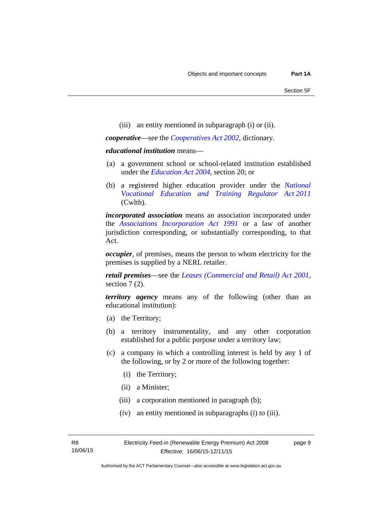(iii) an entity mentioned in subparagraph (i) or (ii).

*cooperative*—see the *[Cooperatives Act 2002](http://www.legislation.act.gov.au/a/2002-45)*, dictionary.

### *educational institution* means—

- (a) a government school or school-related institution established under the *[Education Act 2004](http://www.legislation.act.gov.au/a/2004-17)*, section 20; or
- (b) a registered higher education provider under the *[National](http://www.comlaw.gov.au/Series/C2011A00012)  [Vocational Education and Training Regulator Act 2011](http://www.comlaw.gov.au/Series/C2011A00012)* (Cwlth).

*incorporated association* means an association incorporated under the *[Associations Incorporation Act 1991](http://www.legislation.act.gov.au/a/1991-46)* or a law of another jurisdiction corresponding, or substantially corresponding, to that Act.

*occupier*, of premises, means the person to whom electricity for the premises is supplied by a NERL retailer.

*retail premises*—see the *[Leases \(Commercial and Retail\) Act 2001](http://www.legislation.act.gov.au/a/2001-18)*, section 7(2).

*territory agency* means any of the following (other than an educational institution):

- (a) the Territory;
- (b) a territory instrumentality, and any other corporation established for a public purpose under a territory law;
- (c) a company in which a controlling interest is held by any 1 of the following, or by 2 or more of the following together:
	- (i) the Territory;
	- (ii) a Minister;
	- (iii) a corporation mentioned in paragraph (b);
	- (iv) an entity mentioned in subparagraphs (i) to (iii).

page 9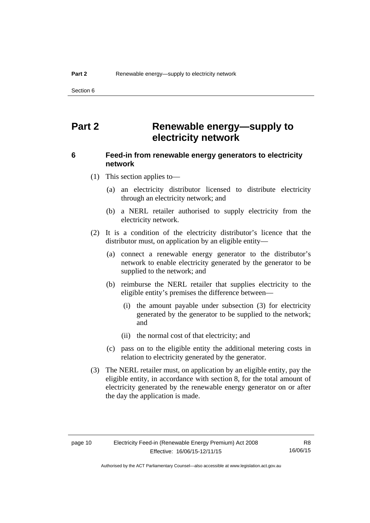Section 6

# <span id="page-13-0"></span>**Part 2 Renewable energy—supply to electricity network**

# <span id="page-13-1"></span>**6 Feed-in from renewable energy generators to electricity network**

(1) This section applies to—

- (a) an electricity distributor licensed to distribute electricity through an electricity network; and
- (b) a NERL retailer authorised to supply electricity from the electricity network.
- (2) It is a condition of the electricity distributor's licence that the distributor must, on application by an eligible entity—
	- (a) connect a renewable energy generator to the distributor's network to enable electricity generated by the generator to be supplied to the network; and
	- (b) reimburse the NERL retailer that supplies electricity to the eligible entity's premises the difference between—
		- (i) the amount payable under subsection (3) for electricity generated by the generator to be supplied to the network; and
		- (ii) the normal cost of that electricity; and
	- (c) pass on to the eligible entity the additional metering costs in relation to electricity generated by the generator.
- (3) The NERL retailer must, on application by an eligible entity, pay the eligible entity, in accordance with section 8, for the total amount of electricity generated by the renewable energy generator on or after the day the application is made.

R8 16/06/15

Authorised by the ACT Parliamentary Counsel—also accessible at www.legislation.act.gov.au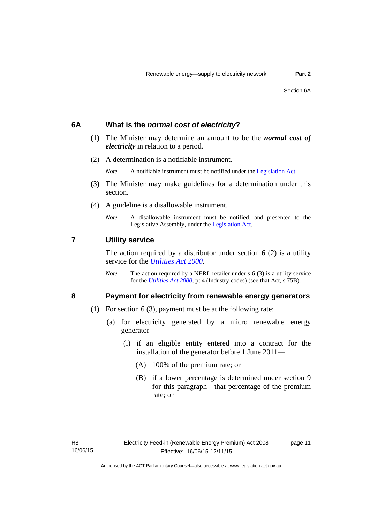## <span id="page-14-0"></span>**6A What is the** *normal cost of electricity***?**

- (1) The Minister may determine an amount to be the *normal cost of electricity* in relation to a period.
- (2) A determination is a notifiable instrument.

*Note* A notifiable instrument must be notified under the [Legislation Act](http://www.legislation.act.gov.au/a/2001-14).

- (3) The Minister may make guidelines for a determination under this section.
- (4) A guideline is a disallowable instrument.
	- *Note* A disallowable instrument must be notified, and presented to the Legislative Assembly, under the [Legislation Act.](http://www.legislation.act.gov.au/a/2001-14)

### <span id="page-14-1"></span>**7 Utility service**

The action required by a distributor under section  $6(2)$  is a utility service for the *[Utilities Act 2000](http://www.legislation.act.gov.au/a/2000-65)*.

*Note* The action required by a NERL retailer under s 6 (3) is a utility service for the *[Utilities Act 2000](http://www.legislation.act.gov.au/a/2000-65)*, pt 4 (Industry codes) (see that Act, s 75B).

# <span id="page-14-2"></span>**8 Payment for electricity from renewable energy generators**

- (1) For section 6 (3), payment must be at the following rate:
	- (a) for electricity generated by a micro renewable energy generator—
		- (i) if an eligible entity entered into a contract for the installation of the generator before 1 June 2011—
			- (A) 100% of the premium rate; or
			- (B) if a lower percentage is determined under section 9 for this paragraph—that percentage of the premium rate; or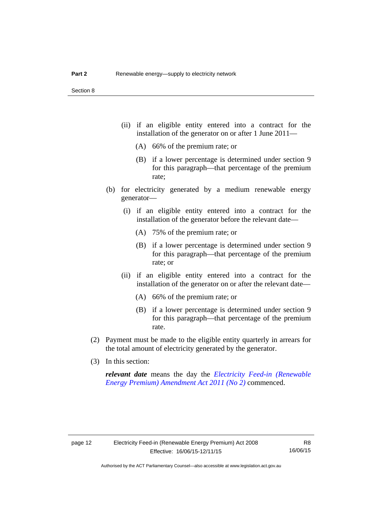- (ii) if an eligible entity entered into a contract for the installation of the generator on or after 1 June 2011—
	- (A) 66% of the premium rate; or
	- (B) if a lower percentage is determined under section 9 for this paragraph—that percentage of the premium rate;
- (b) for electricity generated by a medium renewable energy generator—
	- (i) if an eligible entity entered into a contract for the installation of the generator before the relevant date—
		- (A) 75% of the premium rate; or
		- (B) if a lower percentage is determined under section 9 for this paragraph—that percentage of the premium rate; or
	- (ii) if an eligible entity entered into a contract for the installation of the generator on or after the relevant date—
		- (A) 66% of the premium rate; or
		- (B) if a lower percentage is determined under section 9 for this paragraph—that percentage of the premium rate.
- (2) Payment must be made to the eligible entity quarterly in arrears for the total amount of electricity generated by the generator.
- (3) In this section:

*relevant date* means the day the *[Electricity Feed-in \(Renewable](http://www.legislation.act.gov.au/a/2011-25)  [Energy Premium\) Amendment Act 2011 \(No 2\)](http://www.legislation.act.gov.au/a/2011-25)* commenced.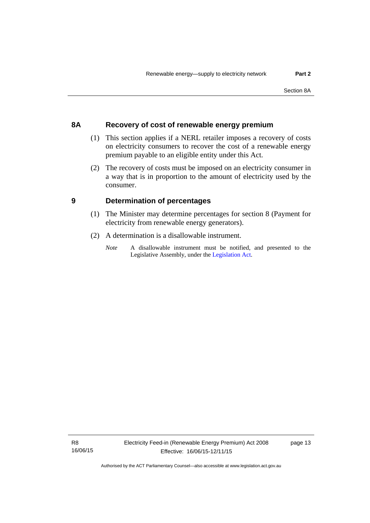# <span id="page-16-0"></span>**8A Recovery of cost of renewable energy premium**

- (1) This section applies if a NERL retailer imposes a recovery of costs on electricity consumers to recover the cost of a renewable energy premium payable to an eligible entity under this Act.
- (2) The recovery of costs must be imposed on an electricity consumer in a way that is in proportion to the amount of electricity used by the consumer.

# <span id="page-16-1"></span>**9 Determination of percentages**

- (1) The Minister may determine percentages for section 8 (Payment for electricity from renewable energy generators).
- (2) A determination is a disallowable instrument.
	- *Note* A disallowable instrument must be notified, and presented to the Legislative Assembly, under the [Legislation Act.](http://www.legislation.act.gov.au/a/2001-14)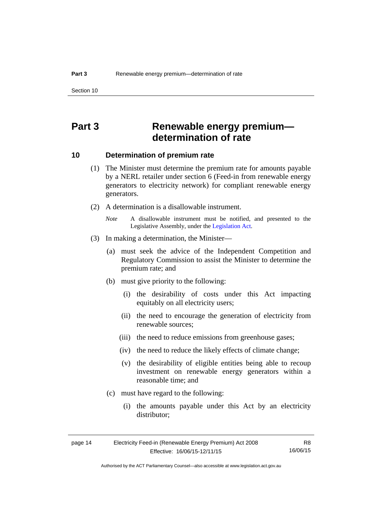# <span id="page-17-0"></span>**Part 3 Renewable energy premium determination of rate**

# <span id="page-17-1"></span>**10 Determination of premium rate**

- (1) The Minister must determine the premium rate for amounts payable by a NERL retailer under section 6 (Feed-in from renewable energy generators to electricity network) for compliant renewable energy generators.
- (2) A determination is a disallowable instrument.
	- *Note* A disallowable instrument must be notified, and presented to the Legislative Assembly, under the [Legislation Act.](http://www.legislation.act.gov.au/a/2001-14)
- (3) In making a determination, the Minister—
	- (a) must seek the advice of the Independent Competition and Regulatory Commission to assist the Minister to determine the premium rate; and
	- (b) must give priority to the following:
		- (i) the desirability of costs under this Act impacting equitably on all electricity users;
		- (ii) the need to encourage the generation of electricity from renewable sources;
		- (iii) the need to reduce emissions from greenhouse gases;
		- (iv) the need to reduce the likely effects of climate change;
		- (v) the desirability of eligible entities being able to recoup investment on renewable energy generators within a reasonable time; and
	- (c) must have regard to the following:
		- (i) the amounts payable under this Act by an electricity distributor;

R8

Authorised by the ACT Parliamentary Counsel—also accessible at www.legislation.act.gov.au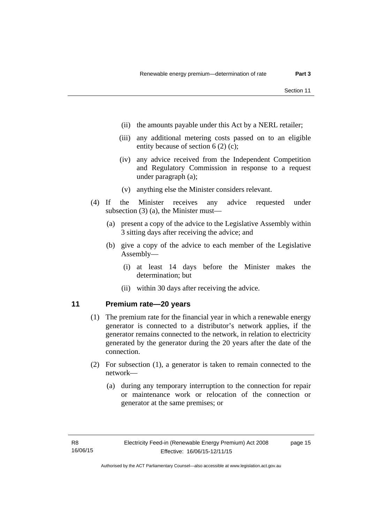- (ii) the amounts payable under this Act by a NERL retailer;
- (iii) any additional metering costs passed on to an eligible entity because of section 6 (2) (c);
- (iv) any advice received from the Independent Competition and Regulatory Commission in response to a request under paragraph (a);
- (v) anything else the Minister considers relevant.
- (4) If the Minister receives any advice requested under subsection (3) (a), the Minister must—
	- (a) present a copy of the advice to the Legislative Assembly within 3 sitting days after receiving the advice; and
	- (b) give a copy of the advice to each member of the Legislative Assembly—
		- (i) at least 14 days before the Minister makes the determination; but
		- (ii) within 30 days after receiving the advice.

# <span id="page-18-0"></span>**11 Premium rate—20 years**

- (1) The premium rate for the financial year in which a renewable energy generator is connected to a distributor's network applies, if the generator remains connected to the network, in relation to electricity generated by the generator during the 20 years after the date of the connection.
- (2) For subsection (1), a generator is taken to remain connected to the network—
	- (a) during any temporary interruption to the connection for repair or maintenance work or relocation of the connection or generator at the same premises; or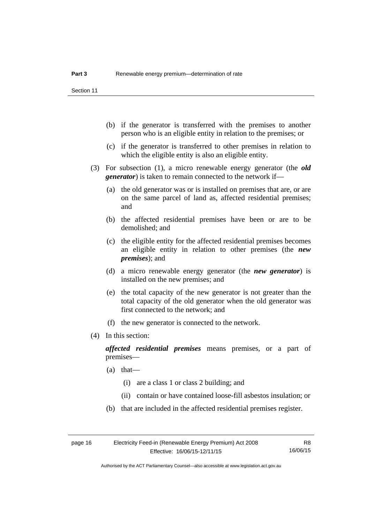- (b) if the generator is transferred with the premises to another person who is an eligible entity in relation to the premises; or
- (c) if the generator is transferred to other premises in relation to which the eligible entity is also an eligible entity.
- (3) For subsection (1), a micro renewable energy generator (the *old generator*) is taken to remain connected to the network if—
	- (a) the old generator was or is installed on premises that are, or are on the same parcel of land as, affected residential premises; and
	- (b) the affected residential premises have been or are to be demolished; and
	- (c) the eligible entity for the affected residential premises becomes an eligible entity in relation to other premises (the *new premises*); and
	- (d) a micro renewable energy generator (the *new generator*) is installed on the new premises; and
	- (e) the total capacity of the new generator is not greater than the total capacity of the old generator when the old generator was first connected to the network; and
	- (f) the new generator is connected to the network.
- (4) In this section:

*affected residential premises* means premises, or a part of premises—

- (a) that—
	- (i) are a class 1 or class 2 building; and
	- (ii) contain or have contained loose-fill asbestos insulation; or
- (b) that are included in the affected residential premises register.

Authorised by the ACT Parliamentary Counsel—also accessible at www.legislation.act.gov.au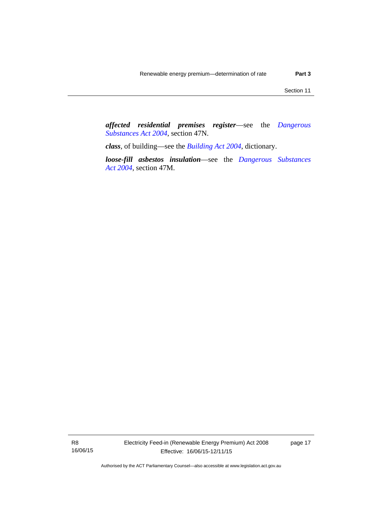*affected residential premises register*—see the *[Dangerous](http://www.legislation.act.gov.au/a/2004-7)  [Substances Act 2004](http://www.legislation.act.gov.au/a/2004-7)*, section 47N.

*class*, of building—see the *[Building Act 2004](http://www.legislation.act.gov.au/a/2004-11)*, dictionary.

*loose-fill asbestos insulation*—see the *[Dangerous Substances](http://www.legislation.act.gov.au/a/2004-7)  [Act 2004](http://www.legislation.act.gov.au/a/2004-7)*, section 47M.

page 17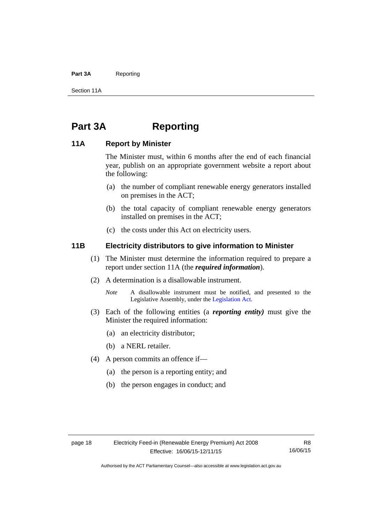### Part 3A Reporting

Section 11A

# <span id="page-21-0"></span>**Part 3A Reporting**

# <span id="page-21-1"></span>**11A Report by Minister**

The Minister must, within 6 months after the end of each financial year, publish on an appropriate government website a report about the following:

- (a) the number of compliant renewable energy generators installed on premises in the ACT;
- (b) the total capacity of compliant renewable energy generators installed on premises in the ACT;
- (c) the costs under this Act on electricity users.

# <span id="page-21-2"></span>**11B Electricity distributors to give information to Minister**

- (1) The Minister must determine the information required to prepare a report under section 11A (the *required information*).
- (2) A determination is a disallowable instrument.
	- *Note* A disallowable instrument must be notified, and presented to the Legislative Assembly, under the [Legislation Act.](http://www.legislation.act.gov.au/a/2001-14)
- (3) Each of the following entities (a *reporting entity)* must give the Minister the required information:
	- (a) an electricity distributor;
	- (b) a NERL retailer.
- (4) A person commits an offence if—
	- (a) the person is a reporting entity; and
	- (b) the person engages in conduct; and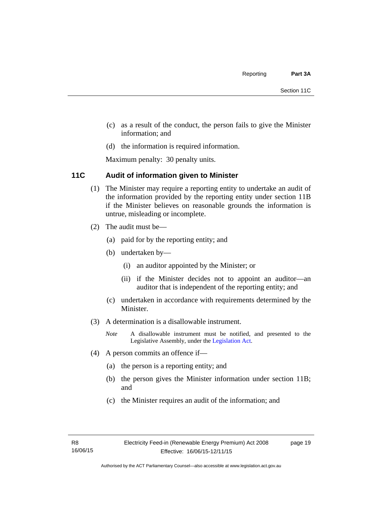- (c) as a result of the conduct, the person fails to give the Minister information; and
- (d) the information is required information.

Maximum penalty: 30 penalty units.

# <span id="page-22-0"></span>**11C Audit of information given to Minister**

- (1) The Minister may require a reporting entity to undertake an audit of the information provided by the reporting entity under section 11B if the Minister believes on reasonable grounds the information is untrue, misleading or incomplete.
- (2) The audit must be—
	- (a) paid for by the reporting entity; and
	- (b) undertaken by—
		- (i) an auditor appointed by the Minister; or
		- (ii) if the Minister decides not to appoint an auditor—an auditor that is independent of the reporting entity; and
	- (c) undertaken in accordance with requirements determined by the Minister.
- (3) A determination is a disallowable instrument.
	- *Note* A disallowable instrument must be notified, and presented to the Legislative Assembly, under the [Legislation Act.](http://www.legislation.act.gov.au/a/2001-14)
- (4) A person commits an offence if—
	- (a) the person is a reporting entity; and
	- (b) the person gives the Minister information under section 11B; and
	- (c) the Minister requires an audit of the information; and

page 19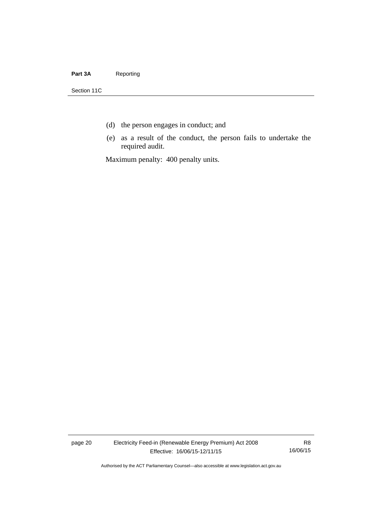### Part 3A Reporting

Section 11C

- (d) the person engages in conduct; and
- (e) as a result of the conduct, the person fails to undertake the required audit.

Maximum penalty: 400 penalty units.

page 20 Electricity Feed-in (Renewable Energy Premium) Act 2008 Effective: 16/06/15-12/11/15

R8 16/06/15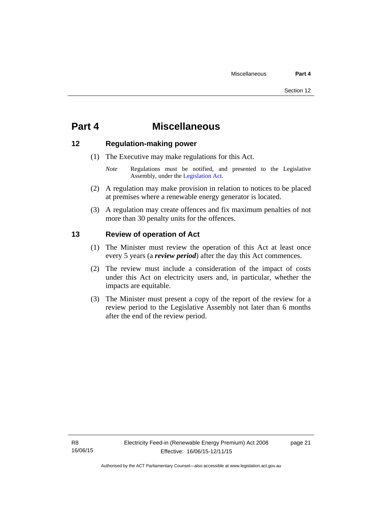# <span id="page-24-0"></span>**Part 4 Miscellaneous**

# <span id="page-24-1"></span>**12 Regulation-making power**

- (1) The Executive may make regulations for this Act.
	- *Note* Regulations must be notified, and presented to the Legislative Assembly, under the [Legislation Act](http://www.legislation.act.gov.au/a/2001-14).
- (2) A regulation may make provision in relation to notices to be placed at premises where a renewable energy generator is located.
- (3) A regulation may create offences and fix maximum penalties of not more than 30 penalty units for the offences.

# <span id="page-24-2"></span>**13 Review of operation of Act**

- (1) The Minister must review the operation of this Act at least once every 5 years (a *review period*) after the day this Act commences.
- (2) The review must include a consideration of the impact of costs under this Act on electricity users and, in particular, whether the impacts are equitable.
- (3) The Minister must present a copy of the report of the review for a review period to the Legislative Assembly not later than 6 months after the end of the review period.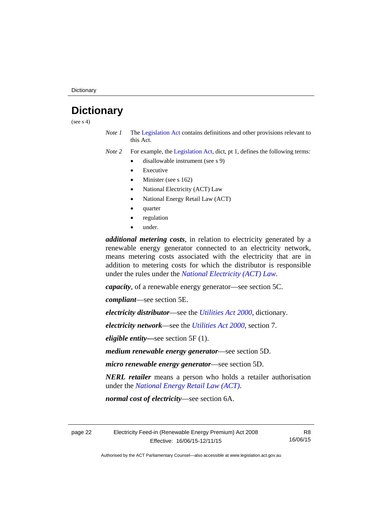# <span id="page-25-0"></span>**Dictionary**

(see  $s$  4)

*Note 1* The [Legislation Act](http://www.legislation.act.gov.au/a/2001-14) contains definitions and other provisions relevant to this Act.

*Note 2* For example, the [Legislation Act,](http://www.legislation.act.gov.au/a/2001-14) dict, pt 1, defines the following terms:

- disallowable instrument (see s 9)
	- Executive
	- Minister (see s 162)
	- National Electricity (ACT) Law
	- National Energy Retail Law (ACT)
	- quarter
	- regulation
	- under.

*additional metering costs*, in relation to electricity generated by a renewable energy generator connected to an electricity network, means metering costs associated with the electricity that are in addition to metering costs for which the distributor is responsible under the rules under the *[National Electricity \(ACT\) Law](http://www.legislation.act.gov.au/a/1997-79/default.asp)*.

*capacity*, of a renewable energy generator—see section 5C.

*compliant*—see section 5E.

*electricity distributor*—see the *[Utilities Act 2000](http://www.legislation.act.gov.au/a/2000-65)*, dictionary.

*electricity network*—see the *[Utilities Act 2000](http://www.legislation.act.gov.au/a/2000-65)*, section 7.

*eligible entity—*see section 5F (1).

*medium renewable energy generator*—see section 5D.

*micro renewable energy generator*—see section 5D.

*NERL retailer* means a person who holds a retailer authorisation under the *[National Energy Retail Law \(ACT\)](http://www.legislation.act.gov.au/a/2012-31/default.asp)*.

*normal cost of electricity*—see section 6A.

page 22 Electricity Feed-in (Renewable Energy Premium) Act 2008 Effective: 16/06/15-12/11/15

R8 16/06/15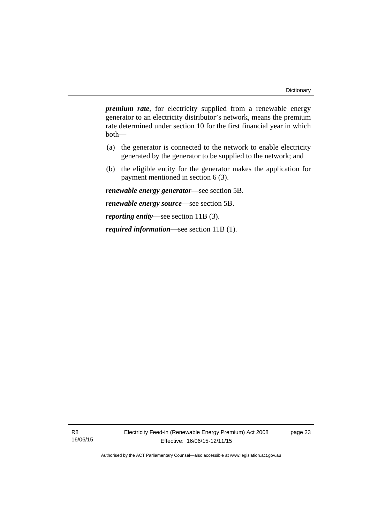*premium rate*, for electricity supplied from a renewable energy generator to an electricity distributor's network, means the premium rate determined under section 10 for the first financial year in which both—

- (a) the generator is connected to the network to enable electricity generated by the generator to be supplied to the network; and
- (b) the eligible entity for the generator makes the application for payment mentioned in section 6 (3).

*renewable energy generator*—see section 5B.

*renewable energy source*—see section 5B.

*reporting entity*—see section 11B (3).

*required information*—see section 11B (1).

R8 16/06/15 page 23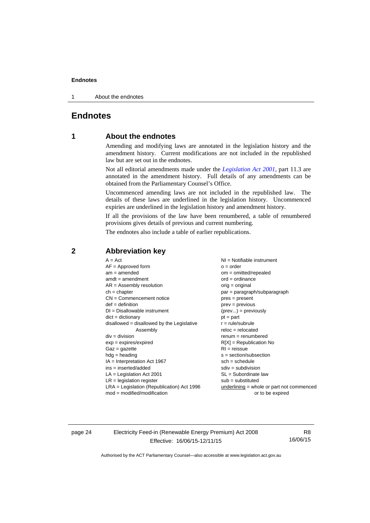1 About the endnotes

# <span id="page-27-0"></span>**Endnotes**

# **1 About the endnotes**

Amending and modifying laws are annotated in the legislation history and the amendment history. Current modifications are not included in the republished law but are set out in the endnotes.

Not all editorial amendments made under the *[Legislation Act 2001](http://www.legislation.act.gov.au/a/2001-14)*, part 11.3 are annotated in the amendment history. Full details of any amendments can be obtained from the Parliamentary Counsel's Office.

Uncommenced amending laws are not included in the republished law. The details of these laws are underlined in the legislation history. Uncommenced expiries are underlined in the legislation history and amendment history.

If all the provisions of the law have been renumbered, a table of renumbered provisions gives details of previous and current numbering.

The endnotes also include a table of earlier republications.

### <span id="page-27-2"></span>**2 Abbreviation key**

page 24 Electricity Feed-in (Renewable Energy Premium) Act 2008 Effective: 16/06/15-12/11/15

R8 16/06/15

<span id="page-27-1"></span>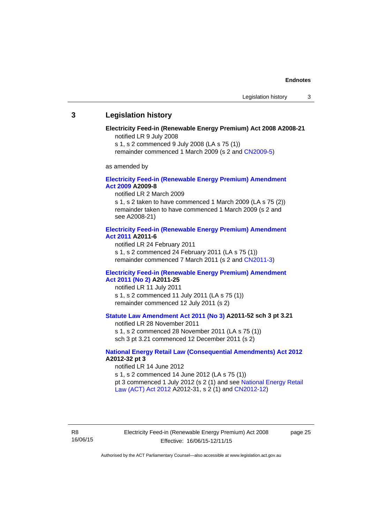### <span id="page-28-0"></span>**3 Legislation history**

### **Electricity Feed-in (Renewable Energy Premium) Act 2008 A2008-21**  notified LR 9 July 2008

s 1, s 2 commenced 9 July 2008 (LA s 75 (1))

remainder commenced 1 March 2009 (s 2 and [CN2009-5\)](http://www.legislation.act.gov.au/cn/2009-5/default.asp)

as amended by

### **[Electricity Feed-in \(Renewable Energy Premium\) Amendment](http://www.legislation.act.gov.au/a/2009-8)  [Act 2009](http://www.legislation.act.gov.au/a/2009-8) A2009-8**

notified LR 2 March 2009

s 1, s 2 taken to have commenced 1 March 2009 (LA s 75 (2)) remainder taken to have commenced 1 March 2009 (s 2 and see A2008-21)

### **[Electricity Feed-in \(Renewable Energy Premium\) Amendment](http://www.legislation.act.gov.au/a/2011-6)  [Act 2011](http://www.legislation.act.gov.au/a/2011-6) A2011-6**

notified LR 24 February 2011 s 1, s 2 commenced 24 February 2011 (LA s 75 (1)) remainder commenced 7 March 2011 (s 2 and [CN2011-3\)](http://www.legislation.act.gov.au/cn/2011-3/default.asp)

### **[Electricity Feed-in \(Renewable Energy Premium\) Amendment](http://www.legislation.act.gov.au/a/2011-25)  [Act 2011 \(No 2\)](http://www.legislation.act.gov.au/a/2011-25) A2011-25**

notified LR 11 July 2011 s 1, s 2 commenced 11 July 2011 (LA s 75 (1)) remainder commenced 12 July 2011 (s 2)

### **[Statute Law Amendment Act 2011 \(No 3\)](http://www.legislation.act.gov.au/a/2011-52) A2011-52 sch 3 pt 3.21**

notified LR 28 November 2011

s 1, s 2 commenced 28 November 2011 (LA s 75 (1)) sch 3 pt 3.21 commenced 12 December 2011 (s 2)

### **[National Energy Retail Law \(Consequential Amendments\) Act 2012](http://www.legislation.act.gov.au/a/2012-32) A2012-32 pt 3**

notified LR 14 June 2012 s 1, s 2 commenced 14 June 2012 (LA s 75 (1)) pt 3 commenced 1 July 2012 (s 2 (1) and see [National Energy Retail](http://www.legislation.act.gov.au/a/2012-31)  [Law \(ACT\) Act 2012](http://www.legislation.act.gov.au/a/2012-31) A2012-31, s 2 (1) and [CN2012-12\)](http://www.legislation.act.gov.au/cn/2012-12/default.asp)

R8 16/06/15 Electricity Feed-in (Renewable Energy Premium) Act 2008 Effective: 16/06/15-12/11/15

page 25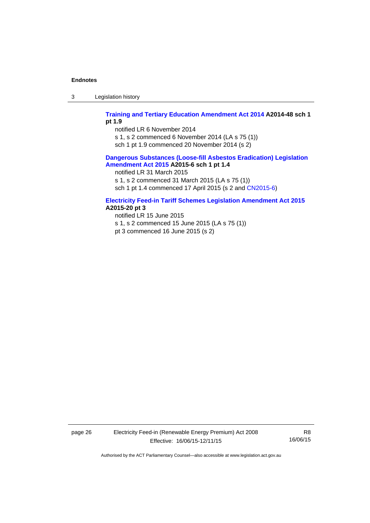3 Legislation history

### **[Training and Tertiary Education Amendment Act 2014](http://www.legislation.act.gov.au/a/2014-48) A2014-48 sch 1 pt 1.9**

notified LR 6 November 2014

s 1, s 2 commenced 6 November 2014 (LA s 75 (1))

sch 1 pt 1.9 commenced 20 November 2014 (s 2)

### **[Dangerous Substances \(Loose-fill Asbestos Eradication\) Legislation](http://www.legislation.act.gov.au/a/2015-6/default.asp)  [Amendment Act 2015](http://www.legislation.act.gov.au/a/2015-6/default.asp) A2015-6 sch 1 pt 1.4**

notified LR 31 March 2015

s 1, s 2 commenced 31 March 2015 (LA s 75 (1))

sch 1 pt 1.4 commenced 17 April 2015 (s 2 and [CN2015-6\)](http://www.legislation.act.gov.au/cn/2015-6/default.asp)

### **[Electricity Feed-in Tariff Schemes Legislation Amendment Act 2015](http://www.legislation.act.gov.au/a/2015-20/default.asp) A2015-20 pt 3**

notified LR 15 June 2015 s 1, s 2 commenced 15 June 2015 (LA s 75 (1)) pt 3 commenced 16 June 2015 (s 2)

page 26 Electricity Feed-in (Renewable Energy Premium) Act 2008 Effective: 16/06/15-12/11/15

R8 16/06/15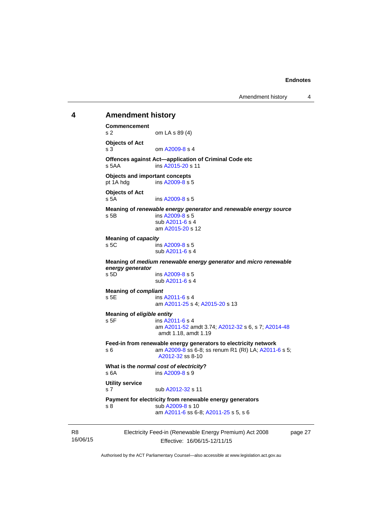# <span id="page-30-0"></span>Electricity Feed-in (Renewable Energy Premium) Act 2008 **4 Amendment history Commencement**  s 2 om LA s 89 (4) **Objects of Act**  s 3 om [A2009-8](http://www.legislation.act.gov.au/a/2009-8) s 4 **Offences against Act—application of Criminal Code etc**  s 5AA ins [A2015-20](http://www.legislation.act.gov.au/a/2015-20) s 11 **Objects and important concepts**  pt 1A hdg ins [A2009-8](http://www.legislation.act.gov.au/a/2009-8) s 5 **Objects of Act**  s 5A ins [A2009-8](http://www.legislation.act.gov.au/a/2009-8) s 5 **Meaning of** *renewable energy generator* **and** *renewable energy source* s 5B ins [A2009-8](http://www.legislation.act.gov.au/a/2009-8) s 5 sub [A2011-6](http://www.legislation.act.gov.au/a/2011-6) s 4 am [A2015-20](http://www.legislation.act.gov.au/a/2015-20) s 12 **Meaning of** *capacity* s 5C ins [A2009-8](http://www.legislation.act.gov.au/a/2009-8) s 5 sub [A2011-6](http://www.legislation.act.gov.au/a/2011-6) s 4 **Meaning of** *medium renewable energy generator* **and** *micro renewable energy generator* s 5D ins [A2009-8](http://www.legislation.act.gov.au/a/2009-8) s 5 sub [A2011-6](http://www.legislation.act.gov.au/a/2011-6) s 4 **Meaning of** *compliant* s 5E ins [A2011-6](http://www.legislation.act.gov.au/a/2011-6) s 4 am [A2011-25](http://www.legislation.act.gov.au/a/2011-25) s 4; [A2015-20](http://www.legislation.act.gov.au/a/2015-20) s 13 **Meaning of** *eligible entity* s 5F ins [A2011-6](http://www.legislation.act.gov.au/a/2011-6) s 4 am [A2011-52](http://www.legislation.act.gov.au/a/2011-52) amdt 3.74; [A2012-32](http://www.legislation.act.gov.au/a/2012-32) s 6, s 7; [A2014-48](http://www.legislation.act.gov.au/a/2014-48) amdt 1.18, amdt 1.19 **Feed-in from renewable energy generators to electricity network**  s 6 **am A2009-8** ss 6-8; ss renum R1 (RI) LA; [A2011-6](http://www.legislation.act.gov.au/a/2011-6) s 5; [A2012-32](http://www.legislation.act.gov.au/a/2012-32) ss 8-10 **What is the** *normal cost of electricity***?**  s 6A ins [A2009-8](http://www.legislation.act.gov.au/a/2009-8) s 9 **Utility service**  s 7 sub [A2012-32](http://www.legislation.act.gov.au/a/2012-32) s 11 **Payment for electricity from renewable energy generators**  s 8 sub [A2009-8](http://www.legislation.act.gov.au/a/2009-8) s 10 am [A2011-6](http://www.legislation.act.gov.au/a/2011-6) ss 6-8; [A2011-25](http://www.legislation.act.gov.au/a/2011-25) s 5, s 6

page 27

Authorised by the ACT Parliamentary Counsel—also accessible at www.legislation.act.gov.au

Effective: 16/06/15-12/11/15

R8 16/06/15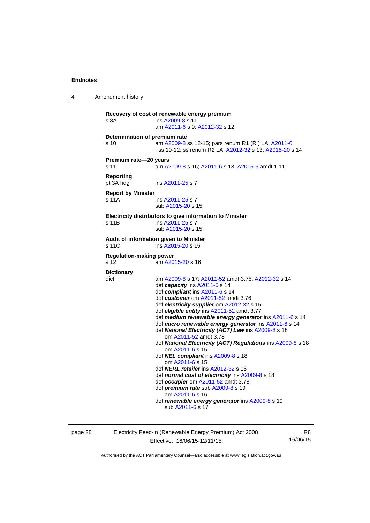4 Amendment history

```
Recovery of cost of renewable energy premium 
s 8A  A2009-8 s 11
                   am A2011-6 s 9; A2012-32 s 12 
Determination of premium rate 
s 10 am A2009-8 ss 12-15; pars renum R1 (RI) LA; A2011-6
                   ss 10-12; ss renum R2 LA; A2012-32 s 13; A2015-20 s 14 
Premium rate—20 years 
s 11 am A2009-8 s 16; A2011-6 s 13; A2015-6 amdt 1.11 
Reporting 
pt 3A hdg ins A2011-25 s 7
Report by Minister 
s 11A ins A2011-25 s 7
                  sub A2015-20 s 15 
Electricity distributors to give information to Minister 
A2011-25 s 7
                   sub A2015-20 s 15 
Audit of information given to Minister 
A2015-20 s 15
Regulation-making power 
                 \frac{1}{2} A2015-20 s 16
Dictionary 
dict am A2009-8 s 17; A2011-52 amdt 3.75; A2012-32 s 14 
                   def capacity ins A2011-6 s 14 
                   def compliant ins A2011-6 s 14 
                   def customer om A2011-52 amdt 3.76
                   def electricity supplier om A2012-32 s 15 
                   def eligible entity ins A2011-52 amdt 3.77 
                   def medium renewable energy generator ins A2011-6 s 14 
                   def micro renewable energy generator ins A2011-6 s 14 
                   def National Electricity (ACT) Law ins A2009-8 s 18 
                      om A2011-52 amdt 3.78
                   def National Electricity (ACT) Regulations ins A2009-8 s 18 
                      om A2011-6 s 15 
                   def NEL compliant ins A2009-8 s 18 
                      om A2011-6 s 15 
                   def NERL retailer ins A2012-32 s 16 
                   def normal cost of electricity ins A2009-8 s 18 
                   def occupier om A2011-52 amdt 3.78 
                   def premium rate sub A2009-8 s 19 
                      am A2011-6 s 16 
                   def renewable energy generator ins A2009-8 s 19 
                      sub A2011-6 s 17
```
page 28 Electricity Feed-in (Renewable Energy Premium) Act 2008 Effective: 16/06/15-12/11/15

R8 16/06/15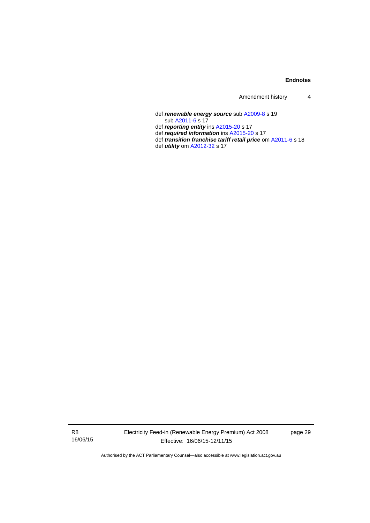| Amendment history |  |
|-------------------|--|
|-------------------|--|

 def *renewable energy source* sub [A2009-8](http://www.legislation.act.gov.au/a/2009-8) s 19 sub [A2011-6](http://www.legislation.act.gov.au/a/2011-6) s 17 def *reporting entity* ins [A2015-20](http://www.legislation.act.gov.au/a/2015-20) s 17 def *required information* ins [A2015-20](http://www.legislation.act.gov.au/a/2015-20) s 17 def *transition franchise tariff retail price* om [A2011-6](http://www.legislation.act.gov.au/a/2011-6) s 18 def *utility* om [A2012-32](http://www.legislation.act.gov.au/a/2012-32) s 17

R8 16/06/15 Electricity Feed-in (Renewable Energy Premium) Act 2008 Effective: 16/06/15-12/11/15

page 29